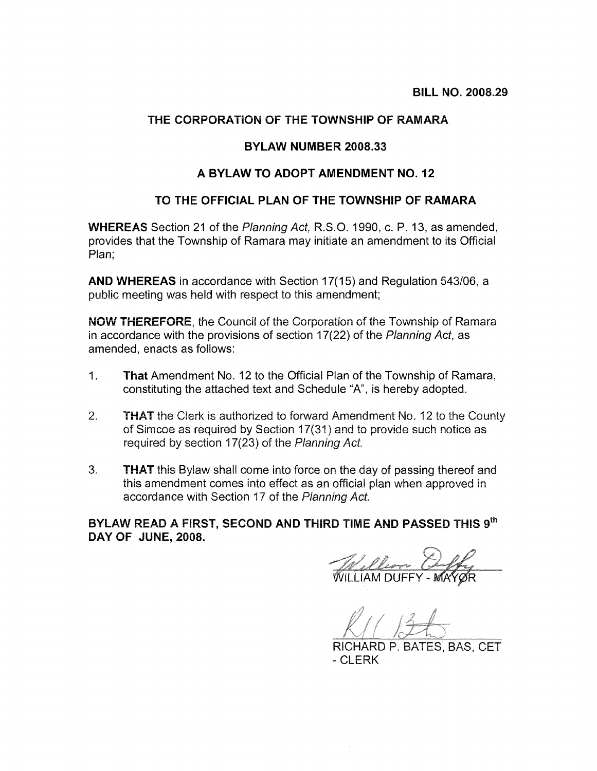### THE CORPORATION OF THE TOWNSHIP OF RAMARA

#### BYLAW NUMBER 2008.33

#### A BYLAW TO ADOPT AMENDMENT NO. 12

## TO THE OFFICIAL PLAN OF THE TOWNSHIP OF RAMARA

**WHEREAS** Section 21 of the Planning Act, R.S.O. 1990, c. P. 13, as amended, provides that the Township of Ramara may initiate an amendment to its Official Plan:

AND WHEREAS in accordance with Section 17(15) and Regulation 543/06, a public meeting was held with respect to this amendment:

NOW THEREFORE, the Council of the Corporation of the Township of Ramara in accordance with the provisions of section 17(22) of the Planning Act, as amended, enacts as follows:

- $1<sub>1</sub>$ **That** Amendment No. 12 to the Official Plan of the Township of Ramara, constituting the attached text and Schedule "A", is hereby adopted.
- **THAT** the Clerk is authorized to forward Amendment No. 12 to the County  $2<sup>1</sup>$ of Simcoe as required by Section 17(31) and to provide such notice as required by section 17(23) of the Planning Act.
- 3. **THAT** this Bylaw shall come into force on the day of passing thereof and this amendment comes into effect as an official plan when approved in accordance with Section 17 of the Planning Act.

BYLAW READ A FIRST, SECOND AND THIRD TIME AND PASSED THIS 9th DAY OF JUNE, 2008.

William Cuffy

RICHARD P. BATES, BAS, CET - CLERK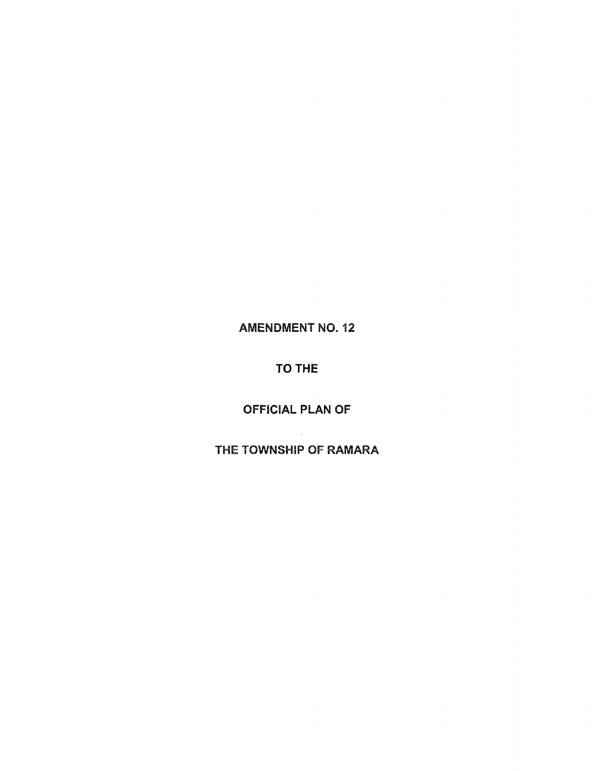# **AMENDMENT NO. 12**

# TO THE

# OFFICIAL PLAN OF

# THE TOWNSHIP OF RAMARA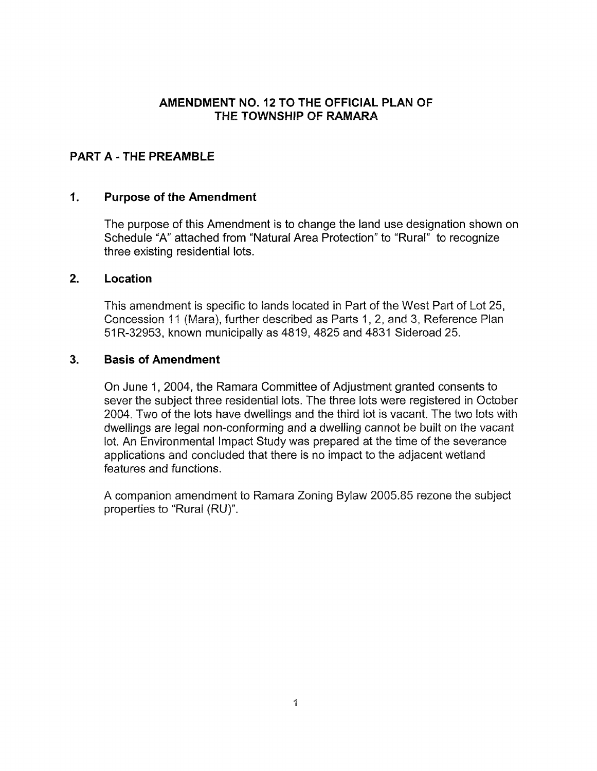### AMENDMENT NO. 12 TO THE OFFICIAL PLAN OF THE TOWNSHIP OF RAMARA

## **PART A - THE PREAMBLE**

#### $\mathbf{1}$ . **Purpose of the Amendment**

The purpose of this Amendment is to change the land use designation shown on Schedule "A" attached from "Natural Area Protection" to "Rural" to recognize three existing residential lots.

#### $2<sup>1</sup>$ Location

This amendment is specific to lands located in Part of the West Part of Lot 25, Concession 11 (Mara), further described as Parts 1, 2, and 3, Reference Plan 51R-32953, known municipally as 4819, 4825 and 4831 Sideroad 25.

#### $3<sub>1</sub>$ **Basis of Amendment**

On June 1, 2004, the Ramara Committee of Adjustment granted consents to sever the subject three residential lots. The three lots were registered in October 2004. Two of the lots have dwellings and the third lot is vacant. The two lots with dwellings are legal non-conforming and a dwelling cannot be built on the vacant lot. An Environmental Impact Study was prepared at the time of the severance applications and concluded that there is no impact to the adjacent wetland features and functions.

A companion amendment to Ramara Zoning Bylaw 2005.85 rezone the subject properties to "Rural (RU)".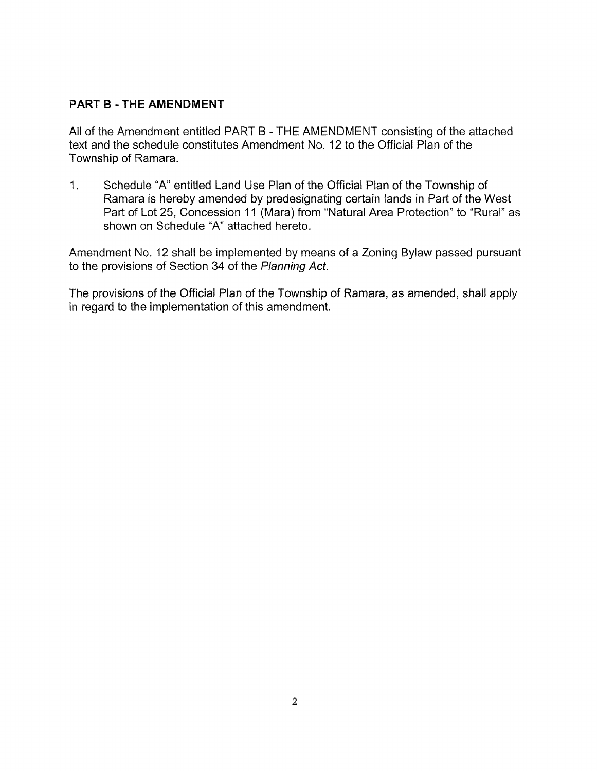### PART B - THE AMENDMENT

All of the Amendment entitled PART B - THE AMENDMENT consisting of the attached text and the schedule constitutes Amendment No. 12 to the Official Plan of the Township of Ramara.

 $1<sub>1</sub>$ Schedule "A" entitled Land Use Plan of the Official Plan of the Township of Ramara is hereby amended by predesignating certain lands in Part of the West Part of Lot 25, Concession 11 (Mara) from "Natural Area Protection" to "Rural" as shown on Schedule "A" attached hereto.

Am endment No. 12 shall be implemented by means of a Zoning Bylaw passed pursuant to the provisions of Section 34 of the Planning Act.

The provisions of the Official Plan of the Township of Ramara, as amended, shall apply in regard to the implementation of this amendment.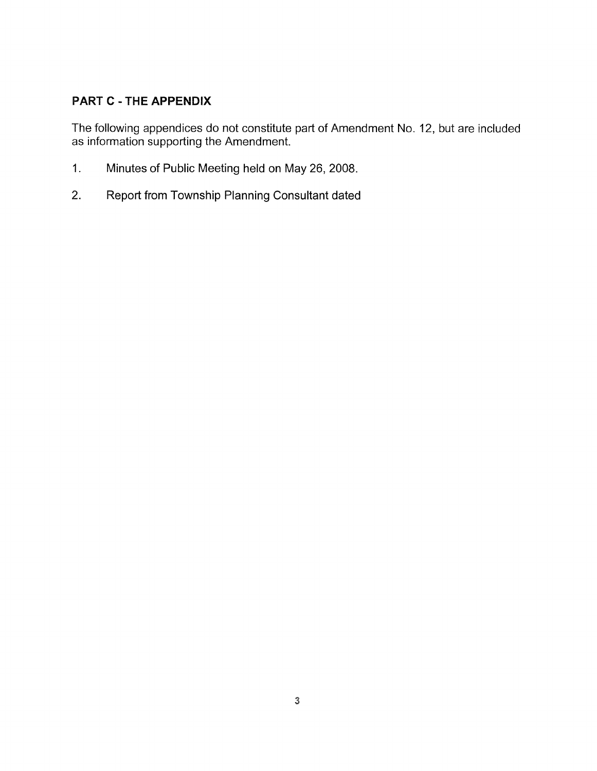## **PART C - THE APPENDIX**

The following appendices do not constitute part of Amendment No. 12, but are included as information supporting the Amendment.

- $1.$ Minutes of Public Meeting held on May 26, 2008.
- $2.$ Report from Township Planning Consultant dated